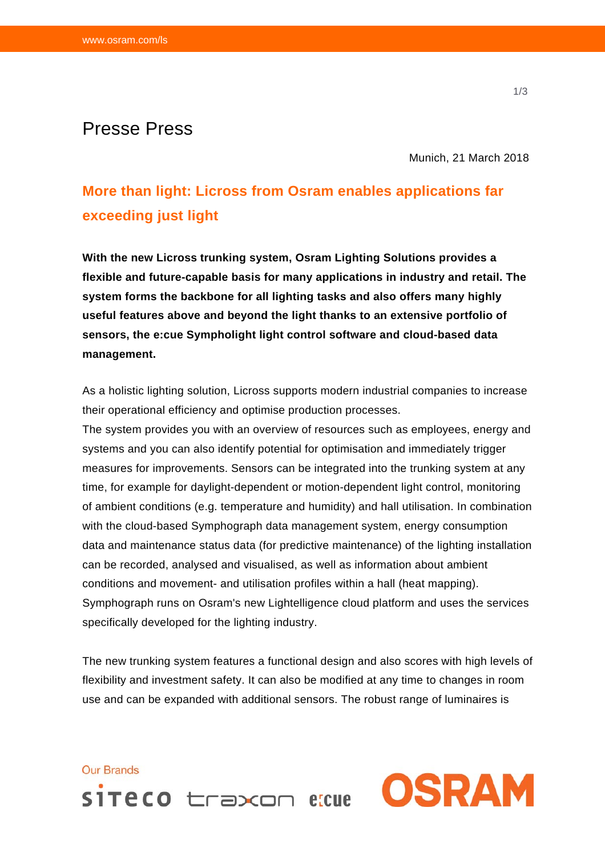## Presse Press

Munich, 21 March 2018

## **More than light: Licross from Osram enables applications far exceeding just light**

**With the new Licross trunking system, Osram Lighting Solutions provides a flexible and future-capable basis for many applications in industry and retail. The system forms the backbone for all lighting tasks and also offers many highly useful features above and beyond the light thanks to an extensive portfolio of sensors, the e:cue Sympholight light control software and cloud-based data management.** 

As a holistic lighting solution, Licross supports modern industrial companies to increase their operational efficiency and optimise production processes.

The system provides you with an overview of resources such as employees, energy and systems and you can also identify potential for optimisation and immediately trigger measures for improvements. Sensors can be integrated into the trunking system at any time, for example for daylight-dependent or motion-dependent light control, monitoring of ambient conditions (e.g. temperature and humidity) and hall utilisation. In combination with the cloud-based Symphograph data management system, energy consumption data and maintenance status data (for predictive maintenance) of the lighting installation can be recorded, analysed and visualised, as well as information about ambient conditions and movement- and utilisation profiles within a hall (heat mapping). Symphograph runs on Osram's new Lightelligence cloud platform and uses the services specifically developed for the lighting industry.

The new trunking system features a functional design and also scores with high levels of flexibility and investment safety. It can also be modified at any time to changes in room use and can be expanded with additional sensors. The robust range of luminaires is

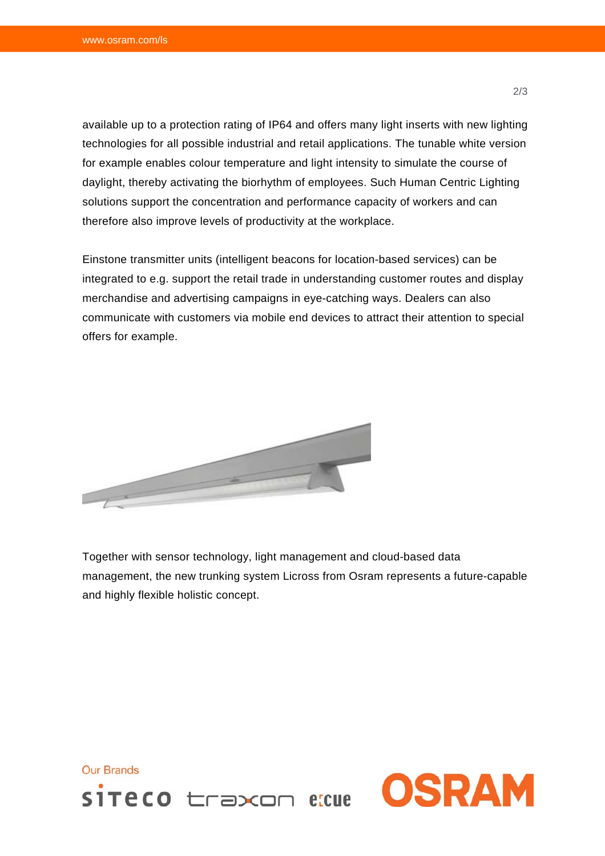available up to a protection rating of IP64 and offers many light inserts with new lighting technologies for all possible industrial and retail applications. The tunable white version for example enables colour temperature and light intensity to simulate the course of daylight, thereby activating the biorhythm of employees. Such Human Centric Lighting solutions support the concentration and performance capacity of workers and can therefore also improve levels of productivity at the workplace.

Einstone transmitter units (intelligent beacons for location-based services) can be integrated to e.g. support the retail trade in understanding customer routes and display merchandise and advertising campaigns in eye-catching ways. Dealers can also communicate with customers via mobile end devices to attract their attention to special offers for example.



Together with sensor technology, light management and cloud-based data management, the new trunking system Licross from Osram represents a future-capable and highly flexible holistic concept.